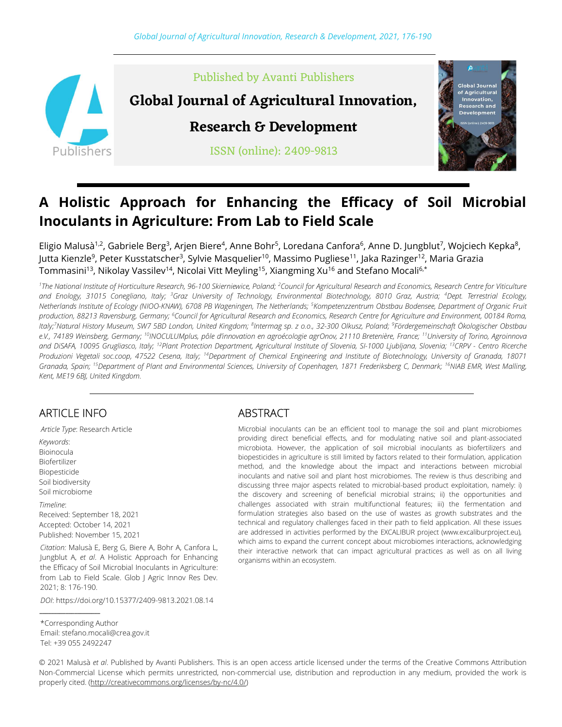

# A Holistic Approach for Enhancing the Efficacy of Soil Microbial Inoculants in Agriculture: From Lab to Field Scale

Eligio Malusà<sup>1,2</sup>, Gabriele Berg<sup>3</sup>, Arjen Biere<sup>4</sup>, Anne Bohr<sup>5</sup>, Loredana Canfora<sup>6</sup>, Anne D. Jungblut<sup>7</sup>, Wojciech Kepka<sup>8</sup>, Jutta Kienzle<sup>9</sup>, Peter Kusstatscher<sup>3</sup>, Sylvie Masquelier<sup>10</sup>, Massimo Pugliese<sup>11</sup>, Jaka Razinger<sup>12</sup>, Maria Grazia Tommasini<sup>13</sup>, Nikolay Vassilev<sup>14</sup>, Nicolai Vitt Meyling<sup>15</sup>, Xiangming Xu<sup>16</sup> and Stefano Mocali<sup>6,\*</sup>

<sup>1</sup>The National Institute of Horticulture Research, 96-100 Skierniewice, Poland; <sup>2</sup>Council for Agricultural Research and Economics, Research Centre for Viticulture and Enology, 31015 Conegliano, Italy; <sup>3</sup>Graz University of Technology, Environmental Biotechnology, 8010 Graz, Austria; <sup>4</sup>Dept. Terrestrial Ecology, Netherlands Institute of Ecology (NIOO-KNAW), 6708 PB Wageningen, The Netherlands; <sup>5</sup>Kompetenzzentrum Obstbau Bodensee, Department of Organic Fruit production, 88213 Ravensburg, Germany; <sup>6</sup>Council for Agricultural Research and Economics, Research Centre for Agriculture and Environment, 00184 Roma, ltaly;<sup>7</sup>Natural History Museum, SW7 5BD London, United Kingdom; <sup>8</sup>Intermag sp. z o.o., 32-300 Olkusz, Poland; <sup>9</sup>Fördergemeinschaft Ökologischer Obstbau e.V., 74189 Weinsberg, Germany; <sup>10</sup>INOCULUMplus, pôle d'innovation en agroécologie agrOnov, 21110 Bretenière, France; <sup>11</sup>University of Torino, Agroinnova and DiSAFA, 10095 Grugliasco, Italy; <sup>12</sup>Plant Protection Department, Agricultural Institute of Slovenia, SI-1000 Ljubljana, Slovenia; <sup>13</sup>CRPV - Centro Ricerche Produzioni Vegetali soc.coop, 47522 Cesena, Italy; <sup>14</sup>Department of Chemical Engineering and Institute of Biotechnology, University of Granada, 18071 Granada, Spain; <sup>15</sup>Department of Plant and Environmental Sciences, University of Copenhagen, 1871 Frederiksberg C, Denmark; <sup>16</sup>NIAB EMR, West Malling, Kent, ME19 6BJ, United Kingdom.

## ARTICLE INFO

Article Type: Research Article Keywords: Bioinocula Biofertilizer Biopesticide Soil biodiversity Soil microbiome Timeline:

Received: September 18, 2021 Accepted: October 14, 2021 Published: November 15, 2021

Citation: Malusà E, Berg G, Biere A, Bohr A, Canfora L, Jungblut A, et al. A Holistic Approach for Enhancing the Efficacy of Soil Microbial Inoculants in Agriculture: from Lab to Field Scale. Glob J Agric Innov Res Dev. 2021; 8: 176-190.

DOI: https://doi.org/10.15377/2409-9813.2021.08.14

#### ABSTRACT

Microbial inoculants can be an efficient tool to manage the soil and plant microbiomes providing direct beneficial effects, and for modulating native soil and plant-associated microbiota. However, the application of soil microbial inoculants as biofertilizers and biopesticides in agriculture is still limited by factors related to their formulation, application method, and the knowledge about the impact and interactions between microbial inoculants and native soil and plant host microbiomes. The review is thus describing and discussing three major aspects related to microbial-based product exploitation, namely: i) the discovery and screening of beneficial microbial strains; ii) the opportunities and challenges associated with strain multifunctional features; iii) the fermentation and formulation strategies also based on the use of wastes as growth substrates and the technical and regulatory challenges faced in their path to field application. All these issues are addressed in activities performed by the EXCALIBUR project (www.excaliburproject.eu), which aims to expand the current concept about microbiomes interactions, acknowledging their interactive network that can impact agricultural practices as well as on all living organisms within an ecosystem.

© 2021 Malusà et al. Published by Avanti Publishers. This is an open access article licensed under the terms of the Creative Commons Attribution Non-Commercial License which permits unrestricted, non-commercial use, distribution and reproduction in any medium, provided the work is properly cited. (http://creativecommons.org/licenses/by-nc/4.0/)

\_\_\_\_\_\_\_\_\_\_\_\_\_\_\_\_\_\_\_\_\_ \*Corresponding Author

Email: stefano.mocali@crea.gov.it Tel: +39 055 2492247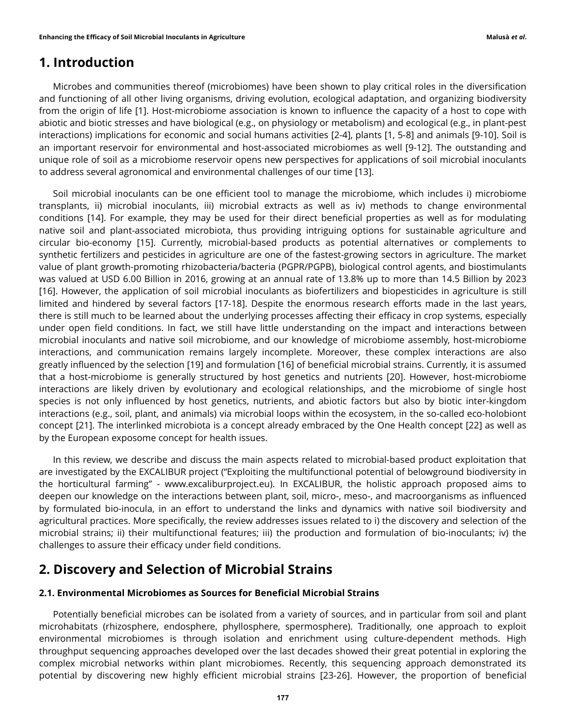### 1. Introduction

Microbes and communities thereof (microbiomes) have been shown to play critical roles in the diversification and functioning of all other living organisms, driving evolution, ecological adaptation, and organizing biodiversity from the origin of life [1]. Host-microbiome association is known to influence the capacity of a host to cope with abiotic and biotic stresses and have biological (e.g., on physiology or metabolism) and ecological (e.g., in plant-pest interactions) implications for economic and social humans activities [2-4], plants [1, 5-8] and animals [9-10]. Soil is an important reservoir for environmental and host-associated microbiomes as well [9-12]. The outstanding and unique role of soil as a microbiome reservoir opens new perspectives for applications of soil microbial inoculants to address several agronomical and environmental challenges of our time [13].

Soil microbial inoculants can be one efficient tool to manage the microbiome, which includes i) microbiome transplants, ii) microbial inoculants, iii) microbial extracts as well as iv) methods to change environmental conditions [14]. For example, they may be used for their direct beneficial properties as well as for modulating native soil and plant-associated microbiota, thus providing intriguing options for sustainable agriculture and circular bio-economy [15]. Currently, microbial-based products as potential alternatives or complements to synthetic fertilizers and pesticides in agriculture are one of the fastest-growing sectors in agriculture. The market value of plant growth-promoting rhizobacteria/bacteria (PGPR/PGPB), biological control agents, and biostimulants was valued at USD 6.00 Billion in 2016, growing at an annual rate of 13.8% up to more than 14.5 Billion by 2023 [16]. However, the application of soil microbial inoculants as biofertilizers and biopesticides in agriculture is still limited and hindered by several factors [17-18]. Despite the enormous research efforts made in the last years, there is still much to be learned about the underlying processes affecting their efficacy in crop systems, especially under open field conditions. In fact, we still have little understanding on the impact and interactions between microbial inoculants and native soil microbiome, and our knowledge of microbiome assembly, host-microbiome interactions, and communication remains largely incomplete. Moreover, these complex interactions are also greatly influenced by the selection [19] and formulation [16] of beneficial microbial strains. Currently, it is assumed that a host-microbiome is generally structured by host genetics and nutrients [20]. However, host-microbiome interactions are likely driven by evolutionary and ecological relationships, and the microbiome of single host species is not only influenced by host genetics, nutrients, and abiotic factors but also by biotic inter-kingdom interactions (e.g., soil, plant, and animals) via microbial loops within the ecosystem, in the so-called eco-holobiont concept [21]. The interlinked microbiota is a concept already embraced by the One Health concept [22] as well as by the European exposome concept for health issues.

In this review, we describe and discuss the main aspects related to microbial-based product exploitation that are investigated by the EXCALIBUR project ("Exploiting the multifunctional potential of belowground biodiversity in the horticultural farming" - www.excaliburproject.eu). In EXCALIBUR, the holistic approach proposed aims to deepen our knowledge on the interactions between plant, soil, micro-, meso-, and macroorganisms as influenced by formulated bio-inocula, in an effort to understand the links and dynamics with native soil biodiversity and agricultural practices. More specifically, the review addresses issues related to i) the discovery and selection of the microbial strains; ii) their multifunctional features; iii) the production and formulation of bio-inoculants; iv) the challenges to assure their efficacy under field conditions.

### 2. Discovery and Selection of Microbial Strains

#### 2.1. Environmental Microbiomes as Sources for Beneficial Microbial Strains

Potentially beneficial microbes can be isolated from a variety of sources, and in particular from soil and plant microhabitats (rhizosphere, endosphere, phyllosphere, spermosphere). Traditionally, one approach to exploit environmental microbiomes is through isolation and enrichment using culture-dependent methods. High throughput sequencing approaches developed over the last decades showed their great potential in exploring the complex microbial networks within plant microbiomes. Recently, this sequencing approach demonstrated its potential by discovering new highly efficient microbial strains [23-26]. However, the proportion of beneficial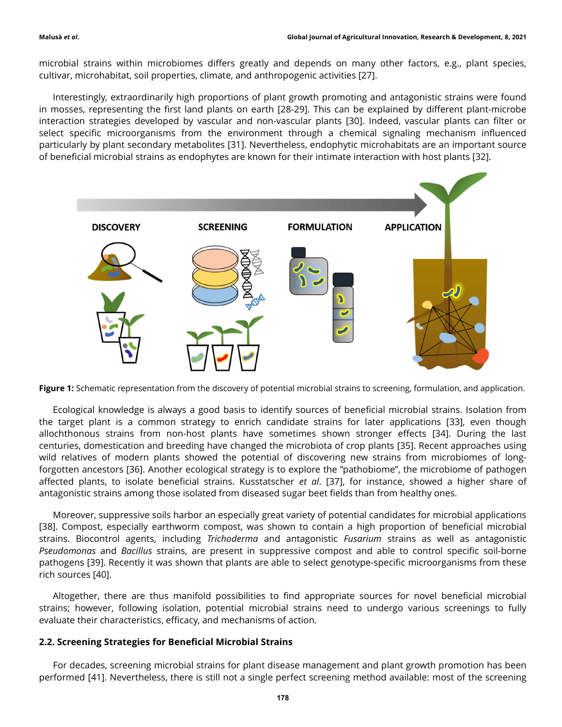microbial strains within microbiomes differs greatly and depends on many other factors, e.g., plant species, cultivar, microhabitat, soil properties, climate, and anthropogenic activities [27].

Interestingly, extraordinarily high proportions of plant growth promoting and antagonistic strains were found in mosses, representing the first land plants on earth [28-29]. This can be explained by different plant-microbe interaction strategies developed by vascular and non-vascular plants [30]. Indeed, vascular plants can filter or select specific microorganisms from the environment through a chemical signaling mechanism influenced particularly by plant secondary metabolites [31]. Nevertheless, endophytic microhabitats are an important source of beneficial microbial strains as endophytes are known for their intimate interaction with host plants [32].



Figure 1: Schematic representation from the discovery of potential microbial strains to screening, formulation, and application.

Ecological knowledge is always a good basis to identify sources of beneficial microbial strains. Isolation from the target plant is a common strategy to enrich candidate strains for later applications [33], even though allochthonous strains from non-host plants have sometimes shown stronger effects [34]. During the last centuries, domestication and breeding have changed the microbiota of crop plants [35]. Recent approaches using wild relatives of modern plants showed the potential of discovering new strains from microbiomes of longforgotten ancestors [36]. Another ecological strategy is to explore the "pathobiome", the microbiome of pathogen affected plants, to isolate beneficial strains. Kusstatscher et al. [37], for instance, showed a higher share of antagonistic strains among those isolated from diseased sugar beet fields than from healthy ones.

Moreover, suppressive soils harbor an especially great variety of potential candidates for microbial applications [38]. Compost, especially earthworm compost, was shown to contain a high proportion of beneficial microbial strains. Biocontrol agents, including Trichoderma and antagonistic Fusarium strains as well as antagonistic Pseudomonas and Bacillus strains, are present in suppressive compost and able to control specific soil-borne pathogens [39]. Recently it was shown that plants are able to select genotype-specific microorganisms from these rich sources [40].

Altogether, there are thus manifold possibilities to find appropriate sources for novel beneficial microbial strains; however, following isolation, potential microbial strains need to undergo various screenings to fully evaluate their characteristics, efficacy, and mechanisms of action.

#### 2.2. Screening Strategies for Beneficial Microbial Strains

For decades, screening microbial strains for plant disease management and plant growth promotion has been performed [41]. Nevertheless, there is still not a single perfect screening method available: most of the screening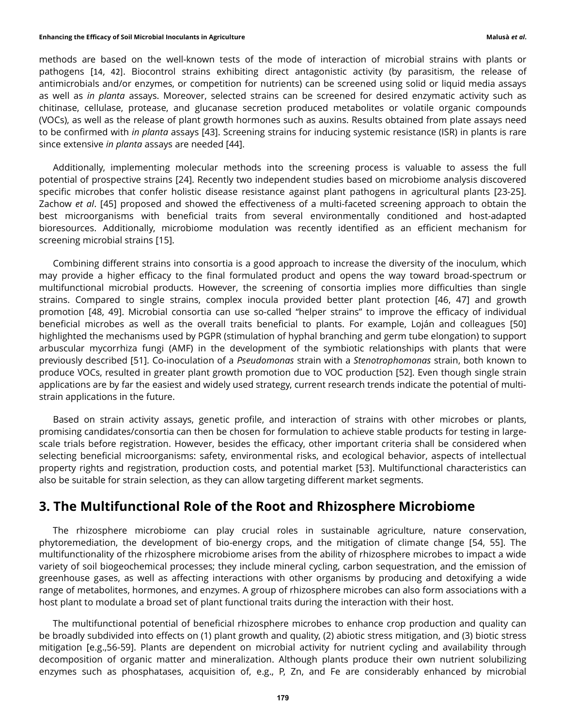#### Enhancing the Efficacy of Soil Microbial Inoculants in Agriculture Malusà et al. Analysà et al.

methods are based on the well-known tests of the mode of interaction of microbial strains with plants or pathogens [14, 42]. Biocontrol strains exhibiting direct antagonistic activity (by parasitism, the release of antimicrobials and/or enzymes, or competition for nutrients) can be screened using solid or liquid media assays as well as in planta assays. Moreover, selected strains can be screened for desired enzymatic activity such as chitinase, cellulase, protease, and glucanase secretion produced metabolites or volatile organic compounds (VOCs), as well as the release of plant growth hormones such as auxins. Results obtained from plate assays need to be confirmed with *in planta* assays [43]. Screening strains for inducing systemic resistance (ISR) in plants is rare since extensive in planta assays are needed [44].

Additionally, implementing molecular methods into the screening process is valuable to assess the full potential of prospective strains [24]. Recently two independent studies based on microbiome analysis discovered specific microbes that confer holistic disease resistance against plant pathogens in agricultural plants [23-25]. Zachow et al. [45] proposed and showed the effectiveness of a multi-faceted screening approach to obtain the best microorganisms with beneficial traits from several environmentally conditioned and host-adapted bioresources. Additionally, microbiome modulation was recently identified as an efficient mechanism for screening microbial strains [15].

Combining different strains into consortia is a good approach to increase the diversity of the inoculum, which may provide a higher efficacy to the final formulated product and opens the way toward broad-spectrum or multifunctional microbial products. However, the screening of consortia implies more difficulties than single strains. Compared to single strains, complex inocula provided better plant protection [46, 47] and growth promotion [48, 49]. Microbial consortia can use so-called "helper strains" to improve the efficacy of individual beneficial microbes as well as the overall traits beneficial to plants. For example, Loján and colleagues [50] highlighted the mechanisms used by PGPR (stimulation of hyphal branching and germ tube elongation) to support arbuscular mycorrhiza fungi (AMF) in the development of the symbiotic relationships with plants that were previously described [51]. Co-inoculation of a Pseudomonas strain with a Stenotrophomonas strain, both known to produce VOCs, resulted in greater plant growth promotion due to VOC production [52]. Even though single strain applications are by far the easiest and widely used strategy, current research trends indicate the potential of multistrain applications in the future.

Based on strain activity assays, genetic profile, and interaction of strains with other microbes or plants, promising candidates/consortia can then be chosen for formulation to achieve stable products for testing in largescale trials before registration. However, besides the efficacy, other important criteria shall be considered when selecting beneficial microorganisms: safety, environmental risks, and ecological behavior, aspects of intellectual property rights and registration, production costs, and potential market [53]. Multifunctional characteristics can also be suitable for strain selection, as they can allow targeting different market segments.

### 3. The Multifunctional Role of the Root and Rhizosphere Microbiome

The rhizosphere microbiome can play crucial roles in sustainable agriculture, nature conservation, phytoremediation, the development of bio-energy crops, and the mitigation of climate change [54, 55]. The multifunctionality of the rhizosphere microbiome arises from the ability of rhizosphere microbes to impact a wide variety of soil biogeochemical processes; they include mineral cycling, carbon sequestration, and the emission of greenhouse gases, as well as affecting interactions with other organisms by producing and detoxifying a wide range of metabolites, hormones, and enzymes. A group of rhizosphere microbes can also form associations with a host plant to modulate a broad set of plant functional traits during the interaction with their host.

The multifunctional potential of beneficial rhizosphere microbes to enhance crop production and quality can be broadly subdivided into effects on (1) plant growth and quality, (2) abiotic stress mitigation, and (3) biotic stress mitigation [e.g.,56-59]. Plants are dependent on microbial activity for nutrient cycling and availability through decomposition of organic matter and mineralization. Although plants produce their own nutrient solubilizing enzymes such as phosphatases, acquisition of, e.g., P, Zn, and Fe are considerably enhanced by microbial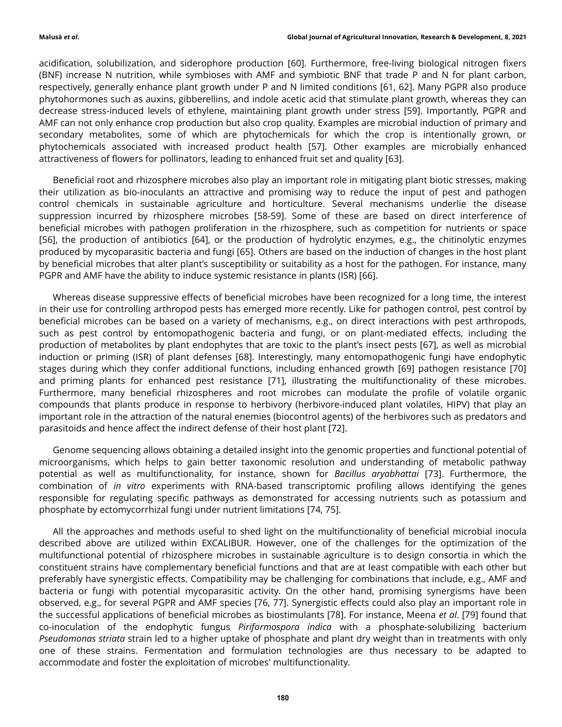acidification, solubilization, and siderophore production [60]. Furthermore, free-living biological nitrogen fixers (BNF) increase N nutrition, while symbioses with AMF and symbiotic BNF that trade P and N for plant carbon, respectively, generally enhance plant growth under P and N limited conditions [61, 62]. Many PGPR also produce phytohormones such as auxins, gibberellins, and indole acetic acid that stimulate plant growth, whereas they can decrease stress-induced levels of ethylene, maintaining plant growth under stress [59]. Importantly, PGPR and AMF can not only enhance crop production but also crop quality. Examples are microbial induction of primary and secondary metabolites, some of which are phytochemicals for which the crop is intentionally grown, or phytochemicals associated with increased product health [57]. Other examples are microbially enhanced attractiveness of flowers for pollinators, leading to enhanced fruit set and quality [63].

Beneficial root and rhizosphere microbes also play an important role in mitigating plant biotic stresses, making their utilization as bio-inoculants an attractive and promising way to reduce the input of pest and pathogen control chemicals in sustainable agriculture and horticulture. Several mechanisms underlie the disease suppression incurred by rhizosphere microbes [58-59]. Some of these are based on direct interference of beneficial microbes with pathogen proliferation in the rhizosphere, such as competition for nutrients or space [56], the production of antibiotics [64], or the production of hydrolytic enzymes, e.g., the chitinolytic enzymes produced by mycoparasitic bacteria and fungi [65]. Others are based on the induction of changes in the host plant by beneficial microbes that alter plant's susceptibility or suitability as a host for the pathogen. For instance, many PGPR and AMF have the ability to induce systemic resistance in plants (ISR) [66].

Whereas disease suppressive effects of beneficial microbes have been recognized for a long time, the interest in their use for controlling arthropod pests has emerged more recently. Like for pathogen control, pest control by beneficial microbes can be based on a variety of mechanisms, e.g., on direct interactions with pest arthropods, such as pest control by entomopathogenic bacteria and fungi, or on plant-mediated effects, including the production of metabolites by plant endophytes that are toxic to the plant's insect pests [67], as well as microbial induction or priming (ISR) of plant defenses [68]. Interestingly, many entomopathogenic fungi have endophytic stages during which they confer additional functions, including enhanced growth [69] pathogen resistance [70] and priming plants for enhanced pest resistance [71], illustrating the multifunctionality of these microbes. Furthermore, many beneficial rhizospheres and root microbes can modulate the profile of volatile organic compounds that plants produce in response to herbivory (herbivore-induced plant volatiles, HIPV) that play an important role in the attraction of the natural enemies (biocontrol agents) of the herbivores such as predators and parasitoids and hence affect the indirect defense of their host plant [72].

Genome sequencing allows obtaining a detailed insight into the genomic properties and functional potential of microorganisms, which helps to gain better taxonomic resolution and understanding of metabolic pathway potential as well as multifunctionality, for instance, shown for Bacillus aryabhattai [73]. Furthermore, the combination of in vitro experiments with RNA-based transcriptomic profiling allows identifying the genes responsible for regulating specific pathways as demonstrated for accessing nutrients such as potassium and phosphate by ectomycorrhizal fungi under nutrient limitations [74, 75].

All the approaches and methods useful to shed light on the multifunctionality of beneficial microbial inocula described above are utilized within EXCALIBUR. However, one of the challenges for the optimization of the multifunctional potential of rhizosphere microbes in sustainable agriculture is to design consortia in which the constituent strains have complementary beneficial functions and that are at least compatible with each other but preferably have synergistic effects. Compatibility may be challenging for combinations that include, e.g., AMF and bacteria or fungi with potential mycoparasitic activity. On the other hand, promising synergisms have been observed, e.g., for several PGPR and AMF species [76, 77]. Synergistic effects could also play an important role in the successful applications of beneficial microbes as biostimulants [78]. For instance, Meena et al. [79] found that co-inoculation of the endophytic fungus Piriformospora indica with a phosphate-solubilizing bacterium Pseudomonas striata strain led to a higher uptake of phosphate and plant dry weight than in treatments with only one of these strains. Fermentation and formulation technologies are thus necessary to be adapted to accommodate and foster the exploitation of microbes' multifunctionality.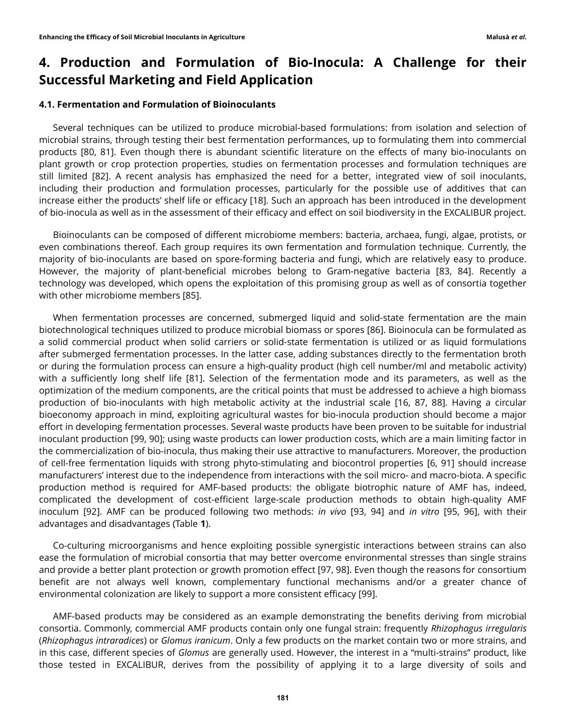# 4. Production and Formulation of Bio-Inocula: A Challenge for their Successful Marketing and Field Application

#### 4.1. Fermentation and Formulation of Bioinoculants

Several techniques can be utilized to produce microbial-based formulations: from isolation and selection of microbial strains, through testing their best fermentation performances, up to formulating them into commercial products [80, 81]. Even though there is abundant scientific literature on the effects of many bio-inoculants on plant growth or crop protection properties, studies on fermentation processes and formulation techniques are still limited [82]. A recent analysis has emphasized the need for a better, integrated view of soil inoculants, including their production and formulation processes, particularly for the possible use of additives that can increase either the products' shelf life or efficacy [18]. Such an approach has been introduced in the development of bio-inocula as well as in the assessment of their efficacy and effect on soil biodiversity in the EXCALIBUR project.

Bioinoculants can be composed of different microbiome members: bacteria, archaea, fungi, algae, protists, or even combinations thereof. Each group requires its own fermentation and formulation technique. Currently, the majority of bio-inoculants are based on spore-forming bacteria and fungi, which are relatively easy to produce. However, the majority of plant-beneficial microbes belong to Gram-negative bacteria [83, 84]. Recently a technology was developed, which opens the exploitation of this promising group as well as of consortia together with other microbiome members [85].

When fermentation processes are concerned, submerged liquid and solid-state fermentation are the main biotechnological techniques utilized to produce microbial biomass or spores [86]. Bioinocula can be formulated as a solid commercial product when solid carriers or solid-state fermentation is utilized or as liquid formulations after submerged fermentation processes. In the latter case, adding substances directly to the fermentation broth or during the formulation process can ensure a high-quality product (high cell number/ml and metabolic activity) with a sufficiently long shelf life [81]. Selection of the fermentation mode and its parameters, as well as the optimization of the medium components, are the critical points that must be addressed to achieve a high biomass production of bio-inoculants with high metabolic activity at the industrial scale [16, 87, 88]. Having a circular bioeconomy approach in mind, exploiting agricultural wastes for bio-inocula production should become a major effort in developing fermentation processes. Several waste products have been proven to be suitable for industrial inoculant production [99, 90]; using waste products can lower production costs, which are a main limiting factor in the commercialization of bio-inocula, thus making their use attractive to manufacturers. Moreover, the production of cell-free fermentation liquids with strong phyto-stimulating and biocontrol properties [6, 91] should increase manufacturers' interest due to the independence from interactions with the soil micro- and macro-biota. A specific production method is required for AMF-based products: the obligate biotrophic nature of AMF has, indeed, complicated the development of cost-efficient large-scale production methods to obtain high-quality AMF inoculum [92]. AMF can be produced following two methods: in vivo [93, 94] and in vitro [95, 96], with their advantages and disadvantages (Table 1).

Co-culturing microorganisms and hence exploiting possible synergistic interactions between strains can also ease the formulation of microbial consortia that may better overcome environmental stresses than single strains and provide a better plant protection or growth promotion effect [97, 98]. Even though the reasons for consortium benefit are not always well known, complementary functional mechanisms and/or a greater chance of environmental colonization are likely to support a more consistent efficacy [99].

AMF-based products may be considered as an example demonstrating the benefits deriving from microbial consortia. Commonly, commercial AMF products contain only one fungal strain: frequently Rhizophagus irregularis (Rhizophagus intraradices) or Glomus iranicum. Only a few products on the market contain two or more strains, and in this case, different species of Glomus are generally used. However, the interest in a "multi-strains" product, like those tested in EXCALIBUR, derives from the possibility of applying it to a large diversity of soils and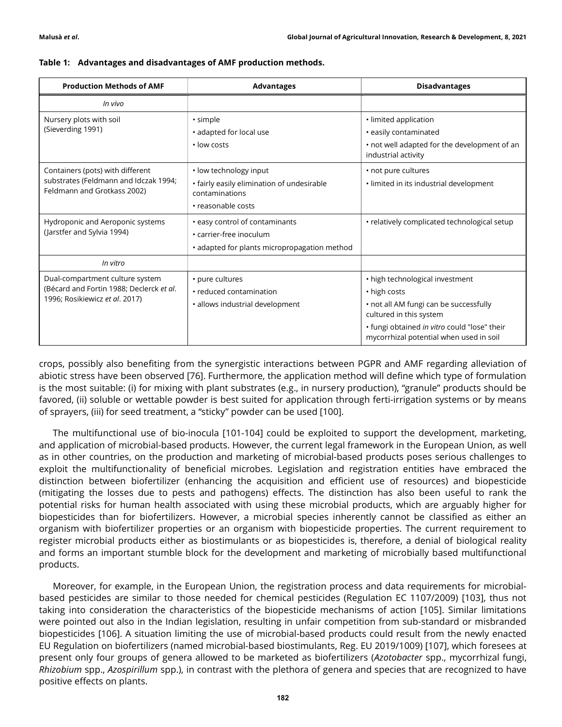| <b>Production Methods of AMF</b>                                                                              | <b>Advantages</b>                                                                                            | <b>Disadvantages</b>                                                                                                                                                                                            |  |  |  |  |
|---------------------------------------------------------------------------------------------------------------|--------------------------------------------------------------------------------------------------------------|-----------------------------------------------------------------------------------------------------------------------------------------------------------------------------------------------------------------|--|--|--|--|
| In vivo                                                                                                       |                                                                                                              |                                                                                                                                                                                                                 |  |  |  |  |
| Nursery plots with soil<br>(Sieverding 1991)                                                                  | · simple<br>• adapted for local use<br>· low costs                                                           | · limited application<br>• easily contaminated<br>• not well adapted for the development of an<br>industrial activity                                                                                           |  |  |  |  |
| Containers (pots) with different<br>substrates (Feldmann and Idczak 1994;<br>Feldmann and Grotkass 2002)      | • low technology input<br>• fairly easily elimination of undesirable<br>contaminations<br>• reasonable costs | • not pure cultures<br>. limited in its industrial development                                                                                                                                                  |  |  |  |  |
| Hydroponic and Aeroponic systems<br>(Jarstfer and Sylvia 1994)                                                | • easy control of contaminants<br>• carrier-free inoculum<br>• adapted for plants micropropagation method    | • relatively complicated technological setup                                                                                                                                                                    |  |  |  |  |
| In vitro                                                                                                      |                                                                                                              |                                                                                                                                                                                                                 |  |  |  |  |
| Dual-compartment culture system<br>(Bécard and Fortin 1988; Declerck et al.<br>1996; Rosikiewicz et al. 2017) | • pure cultures<br>• reduced contamination<br>· allows industrial development                                | • high technological investment<br>• high costs<br>• not all AM fungi can be successfully<br>cultured in this system<br>• fungi obtained in vitro could "lose" their<br>mycorrhizal potential when used in soil |  |  |  |  |

|  | Table 1: Advantages and disadvantages of AMF production methods. |  |  |  |
|--|------------------------------------------------------------------|--|--|--|
|--|------------------------------------------------------------------|--|--|--|

crops, possibly also benefiting from the synergistic interactions between PGPR and AMF regarding alleviation of abiotic stress have been observed [76]. Furthermore, the application method will define which type of formulation is the most suitable: (i) for mixing with plant substrates (e.g., in nursery production), "granule" products should be favored, (ii) soluble or wettable powder is best suited for application through ferti-irrigation systems or by means of sprayers, (iii) for seed treatment, a "sticky" powder can be used [100].

The multifunctional use of bio-inocula [101-104] could be exploited to support the development, marketing, and application of microbial-based products. However, the current legal framework in the European Union, as well as in other countries, on the production and marketing of microbial-based products poses serious challenges to exploit the multifunctionality of beneficial microbes. Legislation and registration entities have embraced the distinction between biofertilizer (enhancing the acquisition and efficient use of resources) and biopesticide (mitigating the losses due to pests and pathogens) effects. The distinction has also been useful to rank the potential risks for human health associated with using these microbial products, which are arguably higher for biopesticides than for biofertilizers. However, a microbial species inherently cannot be classified as either an organism with biofertilizer properties or an organism with biopesticide properties. The current requirement to register microbial products either as biostimulants or as biopesticides is, therefore, a denial of biological reality and forms an important stumble block for the development and marketing of microbially based multifunctional products.

Moreover, for example, in the European Union, the registration process and data requirements for microbialbased pesticides are similar to those needed for chemical pesticides (Regulation EC 1107/2009) [103], thus not taking into consideration the characteristics of the biopesticide mechanisms of action [105]. Similar limitations were pointed out also in the Indian legislation, resulting in unfair competition from sub-standard or misbranded biopesticides [106]. A situation limiting the use of microbial-based products could result from the newly enacted EU Regulation on biofertilizers (named microbial-based biostimulants, Reg. EU 2019/1009) [107], which foresees at present only four groups of genera allowed to be marketed as biofertilizers (Azotobacter spp., mycorrhizal fungi, Rhizobium spp., Azospirillum spp.), in contrast with the plethora of genera and species that are recognized to have positive effects on plants.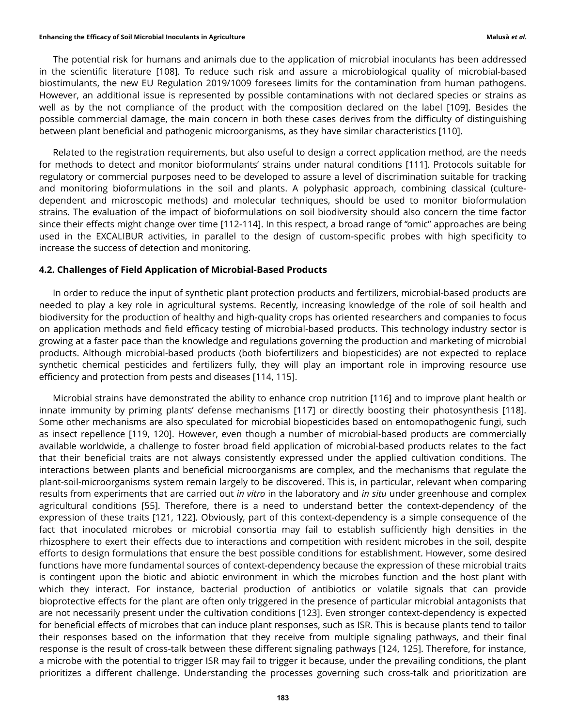#### Enhancing the Efficacy of Soil Microbial Inoculants in Agriculture Malusà et al. Analysà et al.

The potential risk for humans and animals due to the application of microbial inoculants has been addressed in the scientific literature [108]. To reduce such risk and assure a microbiological quality of microbial-based biostimulants, the new EU Regulation 2019/1009 foresees limits for the contamination from human pathogens. However, an additional issue is represented by possible contaminations with not declared species or strains as well as by the not compliance of the product with the composition declared on the label [109]. Besides the possible commercial damage, the main concern in both these cases derives from the difficulty of distinguishing between plant beneficial and pathogenic microorganisms, as they have similar characteristics [110].

Related to the registration requirements, but also useful to design a correct application method, are the needs for methods to detect and monitor bioformulants' strains under natural conditions [111]. Protocols suitable for regulatory or commercial purposes need to be developed to assure a level of discrimination suitable for tracking and monitoring bioformulations in the soil and plants. A polyphasic approach, combining classical (culturedependent and microscopic methods) and molecular techniques, should be used to monitor bioformulation strains. The evaluation of the impact of bioformulations on soil biodiversity should also concern the time factor since their effects might change over time [112-114]. In this respect, a broad range of "omic" approaches are being used in the EXCALIBUR activities, in parallel to the design of custom-specific probes with high specificity to increase the success of detection and monitoring.

#### 4.2. Challenges of Field Application of Microbial-Based Products

In order to reduce the input of synthetic plant protection products and fertilizers, microbial-based products are needed to play a key role in agricultural systems. Recently, increasing knowledge of the role of soil health and biodiversity for the production of healthy and high-quality crops has oriented researchers and companies to focus on application methods and field efficacy testing of microbial-based products. This technology industry sector is growing at a faster pace than the knowledge and regulations governing the production and marketing of microbial products. Although microbial-based products (both biofertilizers and biopesticides) are not expected to replace synthetic chemical pesticides and fertilizers fully, they will play an important role in improving resource use efficiency and protection from pests and diseases [114, 115].

Microbial strains have demonstrated the ability to enhance crop nutrition [116] and to improve plant health or innate immunity by priming plants' defense mechanisms [117] or directly boosting their photosynthesis [118]. Some other mechanisms are also speculated for microbial biopesticides based on entomopathogenic fungi, such as insect repellence [119, 120]. However, even though a number of microbial-based products are commercially available worldwide, a challenge to foster broad field application of microbial-based products relates to the fact that their beneficial traits are not always consistently expressed under the applied cultivation conditions. The interactions between plants and beneficial microorganisms are complex, and the mechanisms that regulate the plant-soil-microorganisms system remain largely to be discovered. This is, in particular, relevant when comparing results from experiments that are carried out in vitro in the laboratory and in situ under greenhouse and complex agricultural conditions [55]. Therefore, there is a need to understand better the context-dependency of the expression of these traits [121, 122]. Obviously, part of this context-dependency is a simple consequence of the fact that inoculated microbes or microbial consortia may fail to establish sufficiently high densities in the rhizosphere to exert their effects due to interactions and competition with resident microbes in the soil, despite efforts to design formulations that ensure the best possible conditions for establishment. However, some desired functions have more fundamental sources of context-dependency because the expression of these microbial traits is contingent upon the biotic and abiotic environment in which the microbes function and the host plant with which they interact. For instance, bacterial production of antibiotics or volatile signals that can provide bioprotective effects for the plant are often only triggered in the presence of particular microbial antagonists that are not necessarily present under the cultivation conditions [123]. Even stronger context-dependency is expected for beneficial effects of microbes that can induce plant responses, such as ISR. This is because plants tend to tailor their responses based on the information that they receive from multiple signaling pathways, and their final response is the result of cross-talk between these different signaling pathways [124, 125]. Therefore, for instance, a microbe with the potential to trigger ISR may fail to trigger it because, under the prevailing conditions, the plant prioritizes a different challenge. Understanding the processes governing such cross-talk and prioritization are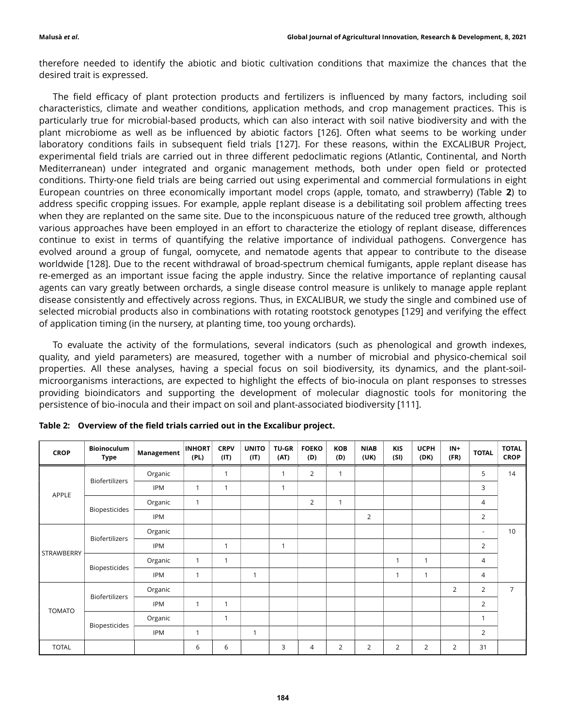therefore needed to identify the abiotic and biotic cultivation conditions that maximize the chances that the desired trait is expressed.

The field efficacy of plant protection products and fertilizers is influenced by many factors, including soil characteristics, climate and weather conditions, application methods, and crop management practices. This is particularly true for microbial-based products, which can also interact with soil native biodiversity and with the plant microbiome as well as be influenced by abiotic factors [126]. Often what seems to be working under laboratory conditions fails in subsequent field trials [127]. For these reasons, within the EXCALIBUR Project, experimental field trials are carried out in three different pedoclimatic regions (Atlantic, Continental, and North Mediterranean) under integrated and organic management methods, both under open field or protected conditions. Thirty-one field trials are being carried out using experimental and commercial formulations in eight European countries on three economically important model crops (apple, tomato, and strawberry) (Table 2) to address specific cropping issues. For example, apple replant disease is a debilitating soil problem affecting trees when they are replanted on the same site. Due to the inconspicuous nature of the reduced tree growth, although various approaches have been employed in an effort to characterize the etiology of replant disease, differences continue to exist in terms of quantifying the relative importance of individual pathogens. Convergence has evolved around a group of fungal, oomycete, and nematode agents that appear to contribute to the disease worldwide [128]. Due to the recent withdrawal of broad-spectrum chemical fumigants, apple replant disease has re-emerged as an important issue facing the apple industry. Since the relative importance of replanting causal agents can vary greatly between orchards, a single disease control measure is unlikely to manage apple replant disease consistently and effectively across regions. Thus, in EXCALIBUR, we study the single and combined use of selected microbial products also in combinations with rotating rootstock genotypes [129] and verifying the effect of application timing (in the nursery, at planting time, too young orchards).

To evaluate the activity of the formulations, several indicators (such as phenological and growth indexes, quality, and yield parameters) are measured, together with a number of microbial and physico-chemical soil properties. All these analyses, having a special focus on soil biodiversity, its dynamics, and the plant-soilmicroorganisms interactions, are expected to highlight the effects of bio-inocula on plant responses to stresses providing bioindicators and supporting the development of molecular diagnostic tools for monitoring the persistence of bio-inocula and their impact on soil and plant-associated biodiversity [111].

| <b>CROP</b>   | <b>Bioinoculum</b><br><b>Type</b> | Management | <b>INHORT</b><br>(PL) | <b>CRPV</b><br>(IT) | <b>UNITO</b><br>(IT) | <b>TU-GR</b><br>(AT) | <b>FOEKO</b><br>(D) | KOB<br>(D)   | <b>NIAB</b><br>(UK) | KIS<br>(SI)    | <b>UCPH</b><br>(DK) | $IN +$<br>(FR) | <b>TOTAL</b>   | <b>TOTAL</b><br><b>CROP</b> |
|---------------|-----------------------------------|------------|-----------------------|---------------------|----------------------|----------------------|---------------------|--------------|---------------------|----------------|---------------------|----------------|----------------|-----------------------------|
| APPLE         | Biofertilizers                    | Organic    |                       | $\overline{1}$      |                      | $\mathbf{1}$         | 2                   | $\mathbf{1}$ |                     |                |                     |                | 5              | 14                          |
|               |                                   | <b>IPM</b> | $\mathbf{1}$          | $\mathbf{1}$        |                      | $\mathbf{1}$         |                     |              |                     |                |                     |                | 3              |                             |
|               | Biopesticides                     | Organic    | $\mathbf{1}$          |                     |                      |                      | $\overline{2}$      | $\mathbf{1}$ |                     |                |                     |                | 4              |                             |
|               |                                   | <b>IPM</b> |                       |                     |                      |                      |                     |              | $\overline{2}$      |                |                     |                | 2              |                             |
| STRAWBERRY    | Biofertilizers                    | Organic    |                       |                     |                      |                      |                     |              |                     |                |                     |                | ٠              | 10                          |
|               |                                   | <b>IPM</b> |                       | $\mathbf{1}$        |                      | $\mathbf 1$          |                     |              |                     |                |                     |                | $\overline{2}$ |                             |
|               | <b>Biopesticides</b>              | Organic    | $\mathbf{1}$          | $\mathbf{1}$        |                      |                      |                     |              |                     |                | $\mathbf{1}$        |                | 4              |                             |
|               |                                   | <b>IPM</b> | $\mathbf{1}$          |                     | 1                    |                      |                     |              |                     |                | $\mathbf{1}$        |                | $\overline{4}$ |                             |
| <b>TOMATO</b> | Biofertilizers                    | Organic    |                       |                     |                      |                      |                     |              |                     |                |                     | $\overline{2}$ | $\overline{2}$ | $\overline{7}$              |
|               |                                   | <b>IPM</b> | $\mathbf{1}$          | $\mathbf{1}$        |                      |                      |                     |              |                     |                |                     |                | $\overline{2}$ |                             |
|               | <b>Biopesticides</b>              | Organic    |                       | $\mathbf{1}$        |                      |                      |                     |              |                     |                |                     |                | $\mathbf{1}$   |                             |
|               |                                   | <b>IPM</b> | $\mathbf{1}$          |                     | $\mathbf{1}$         |                      |                     |              |                     |                |                     |                | $\overline{2}$ |                             |
| <b>TOTAL</b>  |                                   |            | 6                     | 6                   |                      | 3                    | 4                   | 2            | $\overline{2}$      | $\overline{2}$ | 2                   | $\overline{2}$ | 31             |                             |

Table 2: Overview of the field trials carried out in the Excalibur project.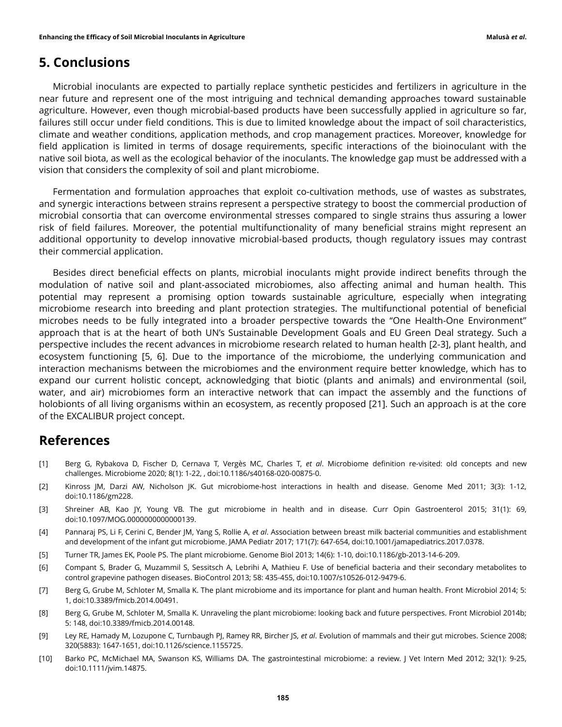### 5. Conclusions

Microbial inoculants are expected to partially replace synthetic pesticides and fertilizers in agriculture in the near future and represent one of the most intriguing and technical demanding approaches toward sustainable agriculture. However, even though microbial-based products have been successfully applied in agriculture so far, failures still occur under field conditions. This is due to limited knowledge about the impact of soil characteristics, climate and weather conditions, application methods, and crop management practices. Moreover, knowledge for field application is limited in terms of dosage requirements, specific interactions of the bioinoculant with the native soil biota, as well as the ecological behavior of the inoculants. The knowledge gap must be addressed with a vision that considers the complexity of soil and plant microbiome.

Fermentation and formulation approaches that exploit co-cultivation methods, use of wastes as substrates, and synergic interactions between strains represent a perspective strategy to boost the commercial production of microbial consortia that can overcome environmental stresses compared to single strains thus assuring a lower risk of field failures. Moreover, the potential multifunctionality of many beneficial strains might represent an additional opportunity to develop innovative microbial-based products, though regulatory issues may contrast their commercial application.

Besides direct beneficial effects on plants, microbial inoculants might provide indirect benefits through the modulation of native soil and plant-associated microbiomes, also affecting animal and human health. This potential may represent a promising option towards sustainable agriculture, especially when integrating microbiome research into breeding and plant protection strategies. The multifunctional potential of beneficial microbes needs to be fully integrated into a broader perspective towards the "One Health-One Environment" approach that is at the heart of both UN's Sustainable Development Goals and EU Green Deal strategy. Such a perspective includes the recent advances in microbiome research related to human health [2-3], plant health, and ecosystem functioning [5, 6]. Due to the importance of the microbiome, the underlying communication and interaction mechanisms between the microbiomes and the environment require better knowledge, which has to expand our current holistic concept, acknowledging that biotic (plants and animals) and environmental (soil, water, and air) microbiomes form an interactive network that can impact the assembly and the functions of holobionts of all living organisms within an ecosystem, as recently proposed [21]. Such an approach is at the core of the EXCALIBUR project concept.

### References

- [1] Berg G, Rybakova D, Fischer D, Cernava T, Vergès MC, Charles T, et al. Microbiome definition re-visited: old concepts and new challenges. Microbiome 2020; 8(1): 1-22, , doi:10.1186/s40168-020-00875-0.
- [2] Kinross JM, Darzi AW, Nicholson JK. Gut microbiome-host interactions in health and disease. Genome Med 2011; 3(3): 1-12, doi:10.1186/gm228.
- [3] Shreiner AB, Kao JY, Young VB. The gut microbiome in health and in disease. Curr Opin Gastroenterol 2015; 31(1): 69, doi:10.1097/MOG.0000000000000139.
- [4] Pannaraj PS, Li F, Cerini C, Bender JM, Yang S, Rollie A, et al. Association between breast milk bacterial communities and establishment and development of the infant gut microbiome. JAMA Pediatr 2017; 171(7): 647-654, doi:10.1001/jamapediatrics.2017.0378.
- [5] Turner TR, James EK, Poole PS. The plant microbiome. Genome Biol 2013; 14(6): 1-10, doi:10.1186/gb-2013-14-6-209.
- [6] Compant S, Brader G, Muzammil S, Sessitsch A, Lebrihi A, Mathieu F. Use of beneficial bacteria and their secondary metabolites to control grapevine pathogen diseases. BioControl 2013; 58: 435-455, doi:10.1007/s10526-012-9479-6.
- [7] Berg G, Grube M, Schloter M, Smalla K. The plant microbiome and its importance for plant and human health. Front Microbiol 2014; 5: 1, doi:10.3389/fmicb.2014.00491.
- [8] Berg G, Grube M, Schloter M, Smalla K. Unraveling the plant microbiome: looking back and future perspectives. Front Microbiol 2014b; 5: 148, doi:10.3389/fmicb.2014.00148.
- [9] Ley RE, Hamady M, Lozupone C, Turnbaugh PJ, Ramey RR, Bircher JS, et al. Evolution of mammals and their gut microbes. Science 2008; 320(5883): 1647-1651, doi:10.1126/science.1155725.
- [10] Barko PC, McMichael MA, Swanson KS, Williams DA. The gastrointestinal microbiome: a review. J Vet Intern Med 2012; 32(1): 9-25, doi:10.1111/jvim.14875.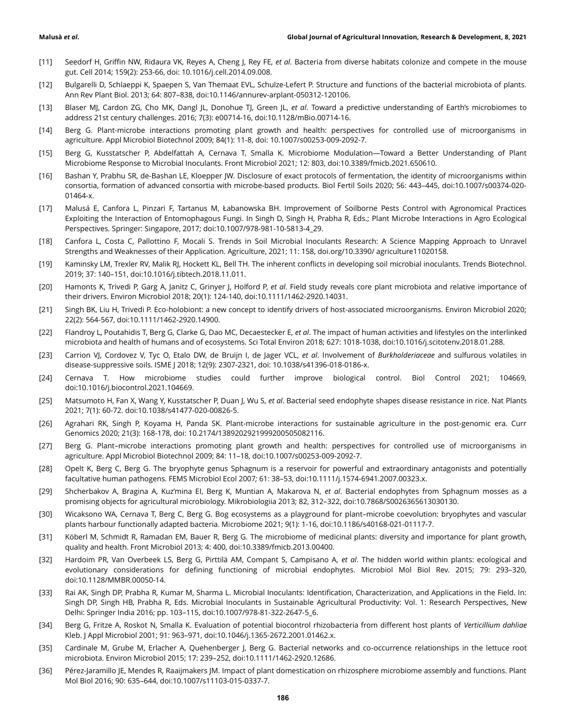- [11] Seedorf H, Griffin NW, Ridaura VK, Reyes A, Cheng J, Rey FE, et al. Bacteria from diverse habitats colonize and compete in the mouse gut. Cell 2014; 159(2): 253-66, doi: 10.1016/j.cell.2014.09.008.
- [12] Bulgarelli D, Schlaeppi K, Spaepen S, Van Themaat EVL, Schulze-Lefert P. Structure and functions of the bacterial microbiota of plants. Ann Rev Plant Biol. 2013; 64: 807–838, doi:10.1146/annurev-arplant-050312-120106.
- [13] Blaser MJ, Cardon ZG, Cho MK, Dangl JL, Donohue TJ, Green JL, et al. Toward a predictive understanding of Earth's microbiomes to address 21st century challenges. 2016; 7(3): e00714-16, doi:10.1128/mBio.00714-16.
- [14] Berg G. Plant-microbe interactions promoting plant growth and health: perspectives for controlled use of microorganisms in agriculture. Appl Microbiol Biotechnol 2009; 84(1): 11-8, doi: 10.1007/s00253-009-2092-7.
- [15] Berg G, Kusstatscher P, Abdelfattah A, Cernava T, Smalla K. Microbiome Modulation—Toward a Better Understanding of Plant Microbiome Response to Microbial Inoculants. Front Microbiol 2021; 12: 803, doi:10.3389/fmicb.2021.650610.
- [16] Bashan Y, Prabhu SR, de-Bashan LE, Kloepper JW. Disclosure of exact protocols of fermentation, the identity of microorganisms within consortia, formation of advanced consortia with microbe-based products. Biol Fertil Soils 2020; 56: 443–445, doi:10.1007/s00374-020- 01464-x.
- [17] Malusá E, Canfora L, Pinzari F, Tartanus M, Łabanowska BH. Improvement of Soilborne Pests Control with Agronomical Practices Exploiting the Interaction of Entomophagous Fungi. In Singh D, Singh H, Prabha R, Eds.; Plant Microbe Interactions in Agro Ecological Perspectives. Springer: Singapore, 2017; doi:10.1007/978-981-10-5813-4\_29.
- [18] Canfora L, Costa C, Pallottino F, Mocali S. Trends in Soil Microbial Inoculants Research: A Science Mapping Approach to Unravel Strengths and Weaknesses of their Application. Agriculture, 2021; 11: 158, doi.org/10.3390/ agriculture11020158.
- [19] Kaminsky LM, Trexler RV, Malik RJ, Hockett KL, Bell TH. The inherent conflicts in developing soil microbial inoculants. Trends Biotechnol. 2019; 37: 140–151, doi:10.1016/j.tibtech.2018.11.011.
- [20] Hamonts K, Trivedi P, Garg A, Janitz C, Grinyer J, Holford P, et al. Field study reveals core plant microbiota and relative importance of their drivers. Environ Microbiol 2018; 20(1): 124-140, doi:10.1111/1462-2920.14031.
- [21] Singh BK, Liu H, Trivedi P. Eco-holobiont: a new concept to identify drivers of host-associated microorganisms. Environ Microbiol 2020; 22(2): 564-567, doi:10.1111/1462-2920.14900.
- [22] Flandroy L, Poutahidis T, Berg G, Clarke G, Dao MC, Decaestecker E, et al. The impact of human activities and lifestyles on the interlinked microbiota and health of humans and of ecosystems. Sci Total Environ 2018; 627: 1018-1038, doi:10.1016/j.scitotenv.2018.01.288.
- [23] Carrion VJ, Cordovez V, Tyc O, Etalo DW, de Bruijn I, de Jager VCL, et al. Involvement of Burkholderiaceae and sulfurous volatiles in disease-suppressive soils. ISME J 2018; 12(9): 2307-2321, doi: 10.1038/s41396-018-0186-x.
- [24] Cernava T. How microbiome studies could further improve biological control. Biol Control 2021; 104669, doi:10.1016/j.biocontrol.2021.104669.
- [25] Matsumoto H, Fan X, Wang Y, Kusstatscher P, Duan J, Wu S, et al. Bacterial seed endophyte shapes disease resistance in rice. Nat Plants 2021; 7(1): 60-72. doi:10.1038/s41477-020-00826-5.
- [26] Agrahari RK, Singh P, Koyama H, Panda SK. Plant-microbe interactions for sustainable agriculture in the post-genomic era. Curr Genomics 2020; 21(3): 168-178, doi: 10.2174/1389202921999200505082116.
- [27] Berg G. Plant–microbe interactions promoting plant growth and health: perspectives for controlled use of microorganisms in agriculture. Appl Microbiol Biotechnol 2009; 84: 11–18, doi:10.1007/s00253-009-2092-7.
- [28] Opelt K, Berg C, Berg G. The bryophyte genus Sphagnum is a reservoir for powerful and extraordinary antagonists and potentially facultative human pathogens. FEMS Microbiol Ecol 2007; 61: 38–53, doi:10.1111/j.1574-6941.2007.00323.x.
- [29] Shcherbakov A, Bragina A, Kuz'mina EI, Berg K, Muntian A, Makarova N, et al. Bacterial endophytes from Sphagnum mosses as a promising objects for agricultural microbiology. Mikrobiologiia 2013; 82, 312–322, doi:10.7868/S0026365613030130.
- [30] Wicaksono WA, Cernava T, Berg C, Berg G. Bog ecosystems as a playground for plant–microbe coevolution: bryophytes and vascular plants harbour functionally adapted bacteria. Microbiome 2021; 9(1): 1-16, doi:10.1186/s40168-021-01117-7.
- [31] Köberl M, Schmidt R, Ramadan EM, Bauer R, Berg G. The microbiome of medicinal plants: diversity and importance for plant growth, quality and health. Front Microbiol 2013; 4: 400, doi:10.3389/fmicb.2013.00400.
- [32] Hardoim PR, Van Overbeek LS, Berg G, Pirttilä AM, Compant S, Campisano A, et al. The hidden world within plants: ecological and evolutionary considerations for defining functioning of microbial endophytes. Microbiol Mol Biol Rev. 2015; 79: 293–320, doi:10.1128/MMBR.00050-14.
- [33] Rai AK, Singh DP, Prabha R, Kumar M, Sharma L. Microbial Inoculants: Identification, Characterization, and Applications in the Field. In: Singh DP, Singh HB, Prabha R, Eds. Microbial Inoculants in Sustainable Agricultural Productivity: Vol. 1: Research Perspectives, New Delhi: Springer India 2016; pp. 103–115, doi:10.1007/978-81-322-2647-5\_6.
- [34] Berg G, Fritze A, Roskot N, Smalla K. Evaluation of potential biocontrol rhizobacteria from different host plants of Verticillium dahliae Kleb. J Appl Microbiol 2001; 91: 963–971, doi:10.1046/j.1365-2672.2001.01462.x.
- [35] Cardinale M, Grube M, Erlacher A, Quehenberger J, Berg G. Bacterial networks and co-occurrence relationships in the lettuce root microbiota. Environ Microbiol 2015; 17: 239–252, doi:10.1111/1462-2920.12686.
- [36] Pérez-Jaramillo JE, Mendes R, Raaijmakers JM. Impact of plant domestication on rhizosphere microbiome assembly and functions. Plant Mol Biol 2016; 90: 635–644, doi:10.1007/s11103-015-0337-7.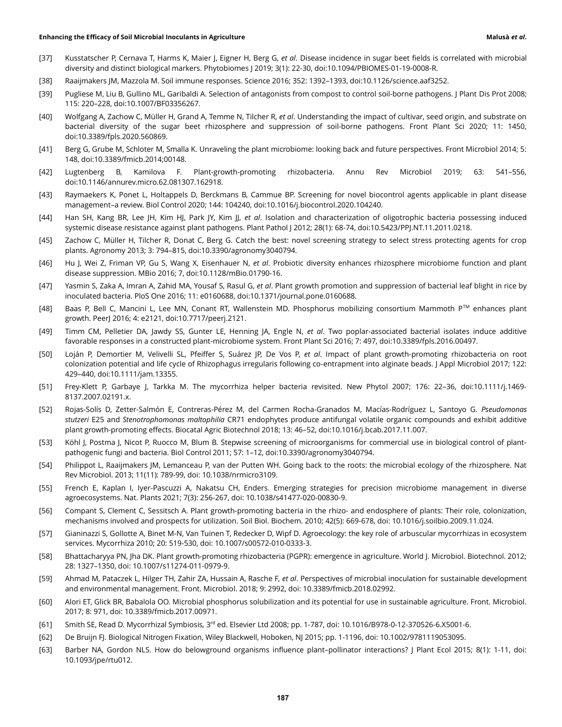- [37] Kusstatscher P, Cernava T, Harms K, Maier J, Eigner H, Berg G, et al. Disease incidence in sugar beet fields is correlated with microbial diversity and distinct biological markers. Phytobiomes J 2019; 3(1): 22-30, doi:10.1094/PBIOMES-01-19-0008-R.
- [38] Raaijmakers JM, Mazzola M. Soil immune responses. Science 2016; 352: 1392–1393, doi:10.1126/science.aaf3252.
- [39] Pugliese M, Liu B, Gullino ML, Garibaldi A. Selection of antagonists from compost to control soil-borne pathogens. J Plant Dis Prot 2008; 115: 220–228, doi:10.1007/BF03356267.
- [40] Wolfgang A, Zachow C, Müller H, Grand A, Temme N, Tilcher R, et al. Understanding the impact of cultivar, seed origin, and substrate on bacterial diversity of the sugar beet rhizosphere and suppression of soil-borne pathogens. Front Plant Sci 2020; 11: 1450, doi:10.3389/fpls.2020.560869.
- [41] Berg G, Grube M, Schloter M, Smalla K. Unraveling the plant microbiome: looking back and future perspectives. Front Microbiol 2014; 5: 148, doi:10.3389/fmicb.2014;00148.
- [42] Lugtenberg B, Kamilova F. Plant-growth-promoting rhizobacteria. Annu Rev Microbiol 2019; 63: 541–556, doi:10.1146/annurev.micro.62.081307.162918.
- [43] Raymaekers K, Ponet L, Holtappels D, Berckmans B, Cammue BP. Screening for novel biocontrol agents applicable in plant disease management–a review. Biol Control 2020; 144: 104240, doi:10.1016/j.biocontrol.2020.104240.
- [44] Han SH, Kang BR, Lee JH, Kim HJ, Park JY, Kim JJ, et al. Isolation and characterization of oligotrophic bacteria possessing induced systemic disease resistance against plant pathogens. Plant Pathol J 2012; 28(1): 68-74, doi:10.5423/PPJ.NT.11.2011.0218.
- [45] Zachow C, Müller H, Tilcher R, Donat C, Berg G. Catch the best: novel screening strategy to select stress protecting agents for crop plants. Agronomy 2013; 3: 794–815, doi:10.3390/agronomy3040794.
- [46] Hu J, Wei Z, Friman VP, Gu S, Wang X, Eisenhauer N, et al. Probiotic diversity enhances rhizosphere microbiome function and plant disease suppression. MBio 2016; 7, doi:10.1128/mBio.01790-16.
- [47] Yasmin S, Zaka A, Imran A, Zahid MA, Yousaf S, Rasul G, et al. Plant growth promotion and suppression of bacterial leaf blight in rice by inoculated bacteria. PloS One 2016; 11: e0160688, doi:10.1371/journal.pone.0160688.
- [48] Baas P, Bell C, Mancini L, Lee MN, Conant RT, Wallenstein MD. Phosphorus mobilizing consortium Mammoth PTM enhances plant growth. PeerJ 2016; 4: e2121, doi:10.7717/peerj.2121.
- [49] Timm CM, Pelletier DA, Jawdy SS, Gunter LE, Henning JA, Engle N, et al. Two poplar-associated bacterial isolates induce additive favorable responses in a constructed plant-microbiome system. Front Plant Sci 2016; 7: 497, doi:10.3389/fpls.2016.00497.
- [50] Loján P, Demortier M, Velivelli SL, Pfeiffer S, Suárez JP, De Vos P, et al. Impact of plant growth-promoting rhizobacteria on root colonization potential and life cycle of Rhizophagus irregularis following co‐entrapment into alginate beads. J Appl Microbiol 2017; 122: 429–440, doi:10.1111/jam.13355.
- [51] Frey-Klett P, Garbaye J, Tarkka M. The mycorrhiza helper bacteria revisited. New Phytol 2007; 176: 22–36, doi:10.1111/j.1469- 8137.2007.02191.x.
- [52] Rojas-Solís D, Zetter-Salmón E, Contreras-Pérez M, del Carmen Rocha-Granados M, Macías-Rodríguez L, Santoyo G. Pseudomonas stutzeri E25 and Stenotrophomonas maltophilia CR71 endophytes produce antifungal volatile organic compounds and exhibit additive plant growth-promoting effects. Biocatal Agric Biotechnol 2018; 13: 46–52, doi:10.1016/j.bcab.2017.11.007.
- [53] Köhl J, Postma J, Nicot P, Ruocco M, Blum B. Stepwise screening of microorganisms for commercial use in biological control of plantpathogenic fungi and bacteria. Biol Control 2011; 57: 1–12, doi:10.3390/agronomy3040794.
- [54] Philippot L, Raaijmakers JM, Lemanceau P, van der Putten WH. Going back to the roots: the microbial ecology of the rhizosphere. Nat Rev Microbiol. 2013; 11(11): 789-99, doi: 10.1038/nrmicro3109.
- [55] French E, Kaplan I, Iyer-Pascuzzi A, Nakatsu CH, Enders. Emerging strategies for precision microbiome management in diverse agroecosystems. Nat. Plants 2021; 7(3): 256-267, doi: 10.1038/s41477-020-00830-9.
- [56] Compant S, Clement C, Sessitsch A. Plant growth-promoting bacteria in the rhizo- and endosphere of plants: Their role, colonization, mechanisms involved and prospects for utilization. Soil Biol. Biochem. 2010; 42(5): 669-678, doi: 10.1016/j.soilbio.2009.11.024.
- [57] Gianinazzi S, Gollotte A, Binet M-N, Van Tuinen T, Redecker D, Wipf D. Agroecology: the key role of arbuscular mycorrhizas in ecosystem services. Mycorrhiza 2010; 20: 519-530, doi: 10.1007/s00572-010-0333-3.
- [58] Bhattacharyya PN, Jha DK. Plant growth-promoting rhizobacteria (PGPR): emergence in agriculture. World J. Microbiol. Biotechnol. 2012; 28: 1327–1350, doi: 10.1007/s11274-011-0979-9.
- [59] Ahmad M, Pataczek L, Hilger TH, Zahir ZA, Hussain A, Rasche F, et al. Perspectives of microbial inoculation for sustainable development and environmental management. Front. Microbiol. 2018; 9: 2992, doi: 10.3389/fmicb.2018.02992.
- [60] Alori ET, Glick BR, Babalola OO. Microbial phosphorus solubilization and its potential for use in sustainable agriculture. Front. Microbiol. 2017; 8: 971, doi: 10.3389/fmicb.2017.00971.
- [61] Smith SE, Read D. Mycorrhizal Symbiosis, 3<sup>rd</sup> ed. Elsevier Ltd 2008; pp. 1-787, doi: 10.1016/B978-0-12-370526-6.X5001-6.
- [62] De Bruijn FJ. Biological Nitrogen Fixation, Wiley Blackwell, Hoboken, NJ 2015; pp. 1-1196, doi: 10.1002/9781119053095.
- [63] Barber NA, Gordon NLS. How do belowground organisms influence plant–pollinator interactions? J Plant Ecol 2015; 8(1): 1-11, doi: 10.1093/jpe/rtu012.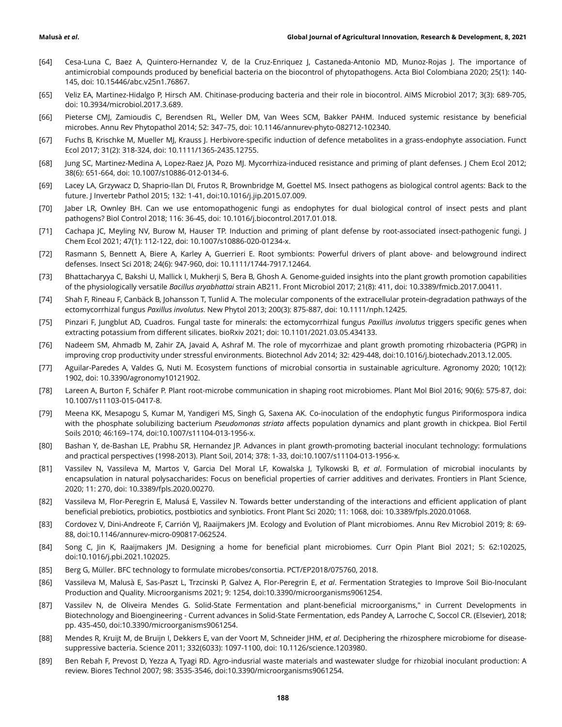- [64] Cesa-Luna C, Baez A, Quintero-Hernandez V, de la Cruz-Enriquez J, Castaneda-Antonio MD, Munoz-Rojas J. The importance of antimicrobial compounds produced by beneficial bacteria on the biocontrol of phytopathogens. Acta Biol Colombiana 2020; 25(1): 140- 145, doi: 10.15446/abc.v25n1.76867.
- [65] Veliz EA, Martinez-Hidalgo P, Hirsch AM. Chitinase-producing bacteria and their role in biocontrol. AIMS Microbiol 2017; 3(3): 689-705, doi: 10.3934/microbiol.2017.3.689.
- [66] Pieterse CMJ, Zamioudis C, Berendsen RL, Weller DM, Van Wees SCM, Bakker PAHM. Induced systemic resistance by beneficial microbes. Annu Rev Phytopathol 2014; 52: 347–75, doi: 10.1146/annurev-phyto-082712-102340.
- [67] Fuchs B, Krischke M, Mueller MJ, Krauss J. Herbivore-specific induction of defence metabolites in a grass-endophyte association. Funct Ecol 2017; 31(2): 318-324, doi: 10.1111/1365-2435.12755.
- [68] Jung SC, Martinez-Medina A, Lopez-Raez JA, Pozo MJ. Mycorrhiza-induced resistance and priming of plant defenses. J Chem Ecol 2012; 38(6): 651-664, doi: 10.1007/s10886-012-0134-6.
- [69] Lacey LA, Grzywacz D, Shaprio-Ilan DI, Frutos R, Brownbridge M, Goettel MS. Insect pathogens as biological control agents: Back to the future. J Invertebr Pathol 2015; 132: 1-41, doi:10.1016/j.jip.2015.07.009.
- [70] Jaber LR, Ownley BH. Can we use entomopathogenic fungi as endophytes for dual biological control of insect pests and plant pathogens? Biol Control 2018; 116: 36-45, doi: 10.1016/j.biocontrol.2017.01.018.
- [71] Cachapa JC, Meyling NV, Burow M, Hauser TP. Induction and priming of plant defense by root-associated insect-pathogenic fungi. J Chem Ecol 2021; 47(1): 112-122, doi: 10.1007/s10886-020-01234-x.
- [72] Rasmann S, Bennett A, Biere A, Karley A, Guerrieri E. Root symbionts: Powerful drivers of plant above- and belowground indirect defenses. Insect Sci 2018; 24(6): 947-960, doi: 10.1111/1744-7917.12464.
- [73] Bhattacharyya C, Bakshi U, Mallick I, Mukherji S, Bera B, Ghosh A. Genome-guided insights into the plant growth promotion capabilities of the physiologically versatile Bacillus aryabhattai strain AB211. Front Microbiol 2017; 21(8): 411, doi: 10.3389/fmicb.2017.00411.
- [74] Shah F, Rineau F, Canbäck B, Johansson T, Tunlid A. The molecular components of the extracellular protein-degradation pathways of the ectomycorrhizal fungus Paxillus involutus. New Phytol 2013; 200(3): 875-887, doi: 10.1111/nph.12425.
- [75] Pinzari F, Jungblut AD, Cuadros. Fungal taste for minerals: the ectomycorrhizal fungus Paxillus involutus triggers specific genes when extracting potassium from different silicates. bioRxiv 2021; doi: 10.1101/2021.03.05.434133.
- [76] Nadeem SM, Ahmadb M, Zahir ZA, Javaid A, Ashraf M. The role of mycorrhizae and plant growth promoting rhizobacteria (PGPR) in improving crop productivity under stressful environments. Biotechnol Adv 2014; 32: 429-448, doi:10.1016/j.biotechadv.2013.12.005.
- [77] Aguilar-Paredes A, Valdes G, Nuti M. Ecosystem functions of microbial consortia in sustainable agriculture. Agronomy 2020; 10(12): 1902, doi: 10.3390/agronomy10121902.
- [78] Lareen A, Burton F, Schäfer P. Plant root-microbe communication in shaping root microbiomes. Plant Mol Biol 2016; 90(6): 575-87, doi: 10.1007/s11103-015-0417-8.
- [79] Meena KK, Mesapogu S, Kumar M, Yandigeri MS, Singh G, Saxena AK. Co-inoculation of the endophytic fungus Piriformospora indica with the phosphate solubilizing bacterium Pseudomonas striata affects population dynamics and plant growth in chickpea. Biol Fertil Soils 2010; 46:169–174, doi:10.1007/s11104-013-1956-x.
- [80] Bashan Y, de-Bashan LE, Prabhu SR, Hernandez JP. Advances in plant growth-promoting bacterial inoculant technology: formulations and practical perspectives (1998-2013). Plant Soil, 2014; 378: 1-33, doi:10.1007/s11104-013-1956-x.
- [81] Vassilev N, Vassileva M, Martos V, Garcia Del Moral LF, Kowalska J, Tylkowski B, et al. Formulation of microbial inoculants by encapsulation in natural polysaccharides: Focus on beneficial properties of carrier additives and derivates. Frontiers in Plant Science, 2020; 11: 270, doi: 10.3389/fpls.2020.00270.
- [82] Vassileva M, Flor-Peregrin E, Malusá E, Vassilev N. Towards better understanding of the interactions and efficient application of plant beneficial prebiotics, probiotics, postbiotics and synbiotics. Front Plant Sci 2020; 11: 1068, doi: 10.3389/fpls.2020.01068.
- [83] Cordovez V, Dini-Andreote F, Carrión VJ, Raaijmakers JM. Ecology and Evolution of Plant microbiomes. Annu Rev Microbiol 2019; 8: 69- 88, doi:10.1146/annurev-micro-090817-062524.
- [84] Song C, Jin K, Raaijmakers JM. Designing a home for beneficial plant microbiomes. Curr Opin Plant Biol 2021; 5: 62:102025, doi:10.1016/j.pbi.2021.102025.
- [85] Berg G, Müller. BFC technology to formulate microbes/consortia. PCT/EP2018/075760, 2018.
- [86] Vassileva M, Malusà E, Sas-Paszt L, Trzcinski P, Galvez A, Flor-Peregrin E, et al. Fermentation Strategies to Improve Soil Bio-Inoculant Production and Quality. Microorganisms 2021; 9: 1254, doi:10.3390/microorganisms9061254.
- [87] Vassilev N, de Oliveira Mendes G. Solid-State Fermentation and plant-beneficial microorganisms," in Current Developments in Biotechnology and Bioengineering - Current advances in Solid-State Fermentation, eds Pandey A, Larroche C, Soccol CR. (Elsevier), 2018; pp. 435-450, doi:10.3390/microorganisms9061254.
- [88] Mendes R, Kruijt M, de Bruijn I, Dekkers E, van der Voort M, Schneider JHM, et al. Deciphering the rhizosphere microbiome for diseasesuppressive bacteria. Science 2011; 332(6033): 1097-1100, doi: 10.1126/science.1203980.
- [89] Ben Rebah F, Prevost D, Yezza A, Tyagi RD. Agro-indusrial waste materials and wastewater sludge for rhizobial inoculant production: A review. Biores Technol 2007; 98: 3535-3546, doi:10.3390/microorganisms9061254.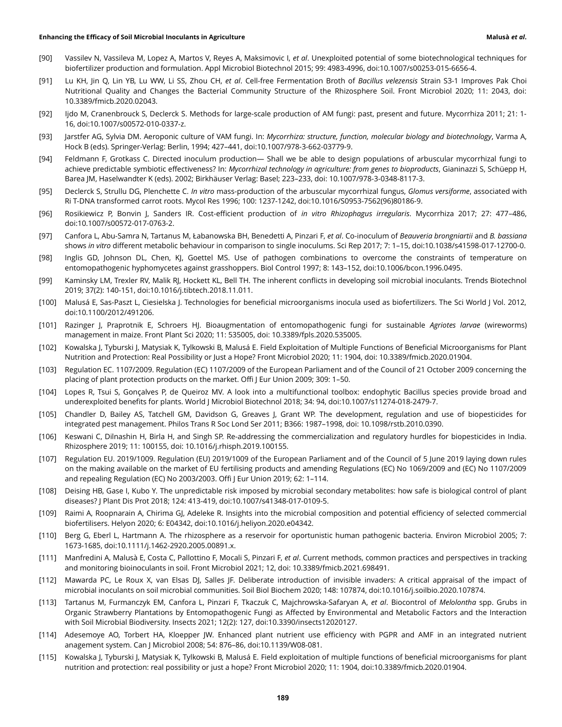- [90] Vassilev N, Vassileva M, Lopez A, Martos V, Reyes A, Maksimovic I, et al. Unexploited potential of some biotechnological techniques for biofertilizer production and formulation. Appl Microbiol Biotechnol 2015; 99: 4983-4996, doi:10.1007/s00253-015-6656-4.
- [91] Lu KH, Jin Q, Lin YB, Lu WW, Li SS, Zhou CH, et al. Cell-free Fermentation Broth of Bacillus velezensis Strain S3-1 Improves Pak Choi Nutritional Quality and Changes the Bacterial Community Structure of the Rhizosphere Soil. Front Microbiol 2020; 11: 2043, doi: 10.3389/fmicb.2020.02043.
- [92] Ijdo M, Cranenbrouck S, Declerck S. Methods for large-scale production of AM fungi: past, present and future. Mycorrhiza 2011; 21: 1- 16, doi:10.1007/s00572-010-0337-z.
- [93] Jarstfer AG, Sylvia DM. Aeroponic culture of VAM fungi. In: Mycorrhiza: structure, function, molecular biology and biotechnology, Varma A, Hock B (eds). Springer-Verlag: Berlin, 1994; 427–441, doi:10.1007/978-3-662-03779-9.
- [94] Feldmann F, Grotkass C. Directed inoculum production— Shall we be able to design populations of arbuscular mycorrhizal fungi to achieve predictable symbiotic effectiveness? In: Mycorrhizal technology in agriculture: from genes to bioproducts, Gianinazzi S, Schüepp H, Barea JM, Haselwandter K (eds). 2002; Birkhäuser Verlag: Basel; 223–233, doi: 10.1007/978-3-0348-8117-3.
- [95] Declerck S, Strullu DG, Plenchette C. In vitro mass-production of the arbuscular mycorrhizal fungus, Glomus versiforme, associated with Ri T-DNA transformed carrot roots. Mycol Res 1996; 100: 1237-1242, doi:10.1016/S0953-7562(96)80186-9.
- [96] Rosikiewicz P, Bonvin J, Sanders IR. Cost-efficient production of in vitro Rhizophagus irregularis. Mycorrhiza 2017; 27: 477–486, doi:10.1007/s00572-017-0763-2.
- [97] Canfora L, Abu-Samra N, Tartanus M, Łabanowska BH, Benedetti A, Pinzari F, et al. Co-inoculum of Beauveria brongniartii and B. bassiana shows in vitro different metabolic behaviour in comparison to single inoculums. Sci Rep 2017; 7: 1–15, doi:10.1038/s41598-017-12700-0.
- [98] Inglis GD, Johnson DL, Chen, KJ, Goettel MS. Use of pathogen combinations to overcome the constraints of temperature on entomopathogenic hyphomycetes against grasshoppers. Biol Control 1997; 8: 143–152, doi:10.1006/bcon.1996.0495.
- [99] Kaminsky LM, Trexler RV, Malik RJ, Hockett KL, Bell TH. The inherent conflicts in developing soil microbial inoculants. Trends Biotechnol 2019; 37(2): 140-151, doi:10.1016/j.tibtech.2018.11.011.
- [100] Malusá E, Sas-Paszt L, Ciesielska J. Technologies for beneficial microorganisms inocula used as biofertilizers. The Sci World J Vol. 2012, doi:10.1100/2012/491206.
- [101] Razinger J, Praprotnik E, Schroers HJ. Bioaugmentation of entomopathogenic fungi for sustainable Agriotes larvae (wireworms) management in maize. Front Plant Sci 2020; 11: 535005, doi: 10.3389/fpls.2020.535005.
- [102] Kowalska J, Tyburski J, Matysiak K, Tylkowski B, Malusá E. Field Exploitation of Multiple Functions of Beneficial Microorganisms for Plant Nutrition and Protection: Real Possibility or Just a Hope? Front Microbiol 2020; 11: 1904, doi: 10.3389/fmicb.2020.01904.
- [103] Regulation EC. 1107/2009. Regulation (EC) 1107/2009 of the European Parliament and of the Council of 21 October 2009 concerning the placing of plant protection products on the market. Offi J Eur Union 2009; 309: 1–50.
- [104] Lopes R, Tsui S, Gonçalves P, de Queiroz MV. A look into a multifunctional toolbox: endophytic Bacillus species provide broad and underexploited benefits for plants. World J Microbiol Biotechnol 2018; 34: 94, doi:10.1007/s11274-018-2479-7.
- [105] Chandler D, Bailey AS, Tatchell GM, Davidson G, Greaves J, Grant WP. The development, regulation and use of biopesticides for integrated pest management. Philos Trans R Soc Lond Ser 2011; B366: 1987–1998, doi: 10.1098/rstb.2010.0390.
- [106] Keswani C, Dilnashin H, Birla H, and Singh SP. Re-addressing the commercialization and regulatory hurdles for biopesticides in India. Rhizosphere 2019; 11: 100155, doi: 10.1016/j.rhisph.2019.100155.
- [107] Regulation EU. 2019/1009. Regulation (EU) 2019/1009 of the European Parliament and of the Council of 5 June 2019 laying down rules on the making available on the market of EU fertilising products and amending Regulations (EC) No 1069/2009 and (EC) No 1107/2009 and repealing Regulation (EC) No 2003/2003. Offi J Eur Union 2019; 62: 1–114.
- [108] Deising HB, Gase I, Kubo Y. The unpredictable risk imposed by microbial secondary metabolites: how safe is biological control of plant diseases? J Plant Dis Prot 2018; 124: 413-419, doi:10.1007/s41348-017-0109-5.
- [109] Raimi A, Roopnarain A, Chirima GJ, Adeleke R. Insights into the microbial composition and potential efficiency of selected commercial biofertilisers. Helyon 2020; 6: E04342, doi:10.1016/j.heliyon.2020.e04342.
- [110] Berg G, Eberl L, Hartmann A. The rhizosphere as a reservoir for oportunistic human pathogenic bacteria. Environ Microbiol 2005; 7: 1673-1685, doi:10.1111/j.1462-2920.2005.00891.x.
- [111] Manfredini A, Malusà E, Costa C, Pallottino F, Mocali S, Pinzari F, et al. Current methods, common practices and perspectives in tracking and monitoring bioinoculants in soil. Front Microbiol 2021; 12, doi: 10.3389/fmicb.2021.698491.
- [112] Mawarda PC, Le Roux X, van Elsas DJ, Salles JF. Deliberate introduction of invisible invaders: A critical appraisal of the impact of microbial inoculants on soil microbial communities. Soil Biol Biochem 2020; 148: 107874, doi:10.1016/j.soilbio.2020.107874.
- [113] Tartanus M, Furmanczyk EM, Canfora L, Pinzari F, Tkaczuk C, Majchrowska-Safaryan A, et al. Biocontrol of Melolontha spp. Grubs in Organic Strawberry Plantations by Entomopathogenic Fungi as Affected by Environmental and Metabolic Factors and the Interaction with Soil Microbial Biodiversity. Insects 2021; 12(2): 127, doi:10.3390/insects12020127.
- [114] Adesemoye AO, Torbert HA, Kloepper JW. Enhanced plant nutrient use efficiency with PGPR and AMF in an integrated nutrient anagement system. Can J Microbiol 2008; 54: 876–86, doi:10.1139/W08-081.
- [115] Kowalska J, Tyburski J, Matysiak K, Tylkowski B, Malusá E. Field exploitation of multiple functions of beneficial microorganisms for plant nutrition and protection: real possibility or just a hope? Front Microbiol 2020; 11: 1904, doi:10.3389/fmicb.2020.01904.